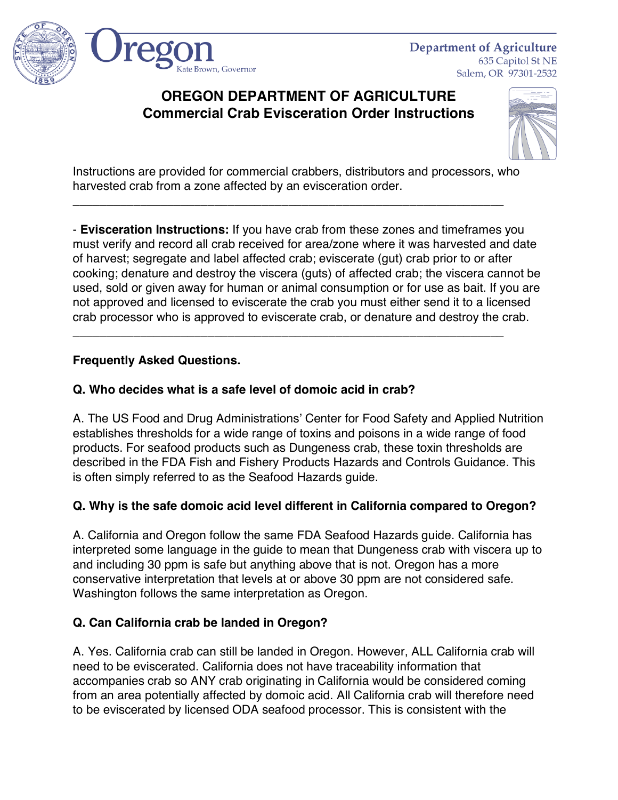**Department of Agriculture** 635 Capitol St NE Salem, OR 97301-2532





Instructions are provided for commercial crabbers, distributors and processors, who harvested crab from a zone affected by an evisceration order.

\_\_\_\_\_\_\_\_\_\_\_\_\_\_\_\_\_\_\_\_\_\_\_\_\_\_\_\_\_\_\_\_\_\_\_\_\_\_\_\_\_\_\_\_\_\_\_\_\_\_\_\_\_\_\_\_\_\_\_\_\_\_\_\_

\_\_\_\_\_\_\_\_\_\_\_\_\_\_\_\_\_\_\_\_\_\_\_\_\_\_\_\_\_\_\_\_\_\_\_\_\_\_\_\_\_\_\_\_\_\_\_\_\_\_\_\_\_\_\_\_\_\_\_\_\_\_\_\_

- **Evisceration Instructions:** If you have crab from these zones and timeframes you must verify and record all crab received for area/zone where it was harvested and date of harvest; segregate and label affected crab; eviscerate (gut) crab prior to or after cooking; denature and destroy the viscera (guts) of affected crab; the viscera cannot be used, sold or given away for human or animal consumption or for use as bait. If you are not approved and licensed to eviscerate the crab you must either send it to a licensed crab processor who is approved to eviscerate crab, or denature and destroy the crab.

# **Frequently Asked Questions.**

# **Q. Who decides what is a safe level of domoic acid in crab?**

Kate Brown, Governor

A. The US Food and Drug Administrations' Center for Food Safety and Applied Nutrition establishes thresholds for a wide range of toxins and poisons in a wide range of food products. For seafood products such as Dungeness crab, these toxin thresholds are described in the FDA Fish and Fishery Products Hazards and Controls Guidance. This is often simply referred to as the Seafood Hazards guide.

# **Q. Why is the safe domoic acid level different in California compared to Oregon?**

A. California and Oregon follow the same FDA Seafood Hazards guide. California has interpreted some language in the guide to mean that Dungeness crab with viscera up to and including 30 ppm is safe but anything above that is not. Oregon has a more conservative interpretation that levels at or above 30 ppm are not considered safe. Washington follows the same interpretation as Oregon.

# **Q. Can California crab be landed in Oregon?**

A. Yes. California crab can still be landed in Oregon. However, ALL California crab will need to be eviscerated. California does not have traceability information that accompanies crab so ANY crab originating in California would be considered coming from an area potentially affected by domoic acid. All California crab will therefore need to be eviscerated by licensed ODA seafood processor. This is consistent with the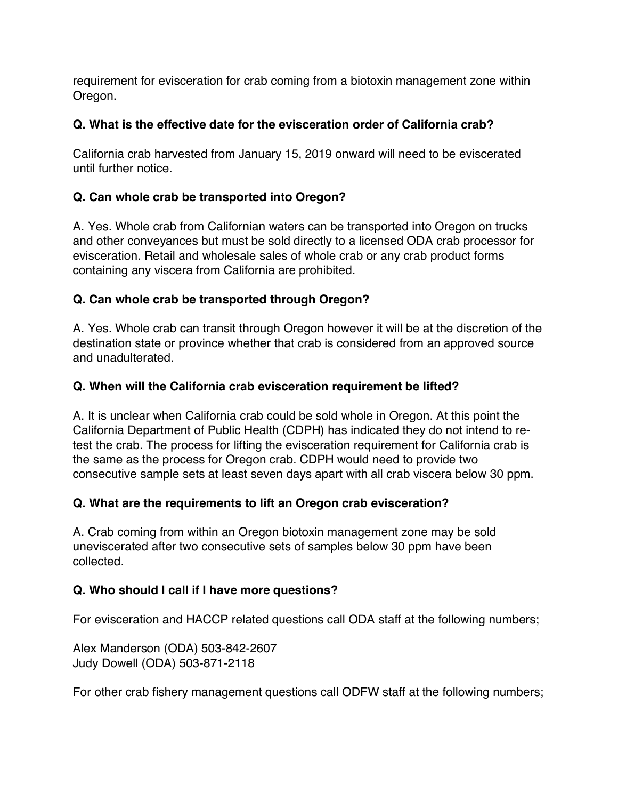requirement for evisceration for crab coming from a biotoxin management zone within Oregon.

### **Q. What is the effective date for the evisceration order of California crab?**

California crab harvested from January 15, 2019 onward will need to be eviscerated until further notice.

# **Q. Can whole crab be transported into Oregon?**

A. Yes. Whole crab from Californian waters can be transported into Oregon on trucks and other conveyances but must be sold directly to a licensed ODA crab processor for evisceration. Retail and wholesale sales of whole crab or any crab product forms containing any viscera from California are prohibited.

# **Q. Can whole crab be transported through Oregon?**

A. Yes. Whole crab can transit through Oregon however it will be at the discretion of the destination state or province whether that crab is considered from an approved source and unadulterated.

# **Q. When will the California crab evisceration requirement be lifted?**

A. It is unclear when California crab could be sold whole in Oregon. At this point the California Department of Public Health (CDPH) has indicated they do not intend to retest the crab. The process for lifting the evisceration requirement for California crab is the same as the process for Oregon crab. CDPH would need to provide two consecutive sample sets at least seven days apart with all crab viscera below 30 ppm.

#### **Q. What are the requirements to lift an Oregon crab evisceration?**

A. Crab coming from within an Oregon biotoxin management zone may be sold uneviscerated after two consecutive sets of samples below 30 ppm have been collected.

# **Q. Who should I call if I have more questions?**

For evisceration and HACCP related questions call ODA staff at the following numbers;

Alex Manderson (ODA) 503-842-2607 Judy Dowell (ODA) 503-871-2118

For other crab fishery management questions call ODFW staff at the following numbers;